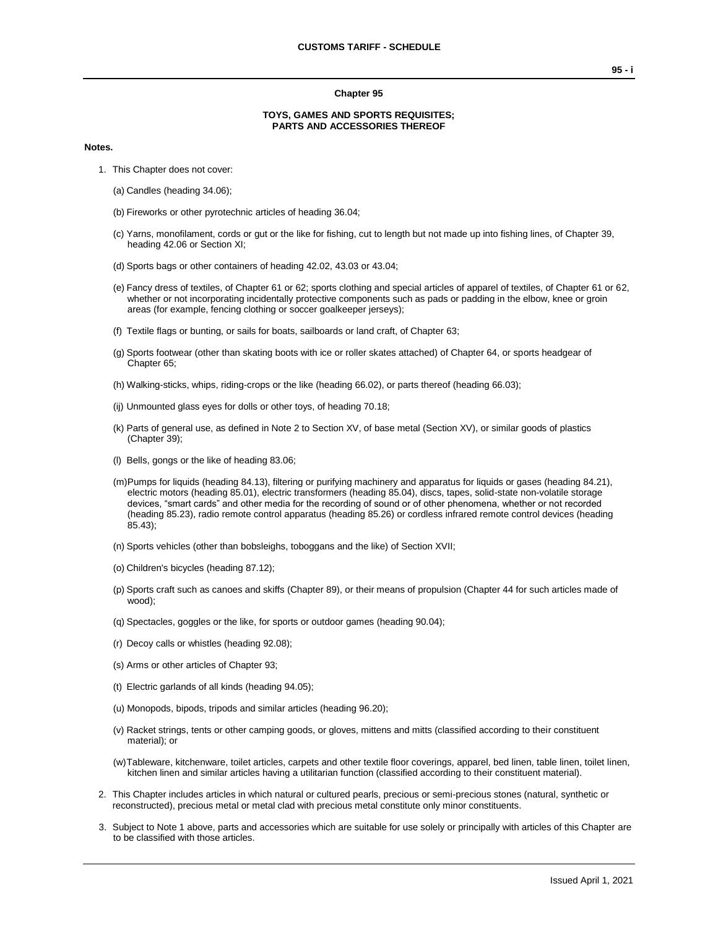#### **Chapter 95**

### **TOYS, GAMES AND SPORTS REQUISITES; PARTS AND ACCESSORIES THEREOF**

#### **Notes.**

- 1. This Chapter does not cover:
	- (a) Candles (heading 34.06);
	- (b) Fireworks or other pyrotechnic articles of heading 36.04;
	- (c) Yarns, monofilament, cords or gut or the like for fishing, cut to length but not made up into fishing lines, of Chapter 39, heading 42.06 or Section XI;
	- (d) Sports bags or other containers of heading 42.02, 43.03 or 43.04;
	- (e) Fancy dress of textiles, of Chapter 61 or 62; sports clothing and special articles of apparel of textiles, of Chapter 61 or 62, whether or not incorporating incidentally protective components such as pads or padding in the elbow, knee or groin areas (for example, fencing clothing or soccer goalkeeper jerseys);
	- (f) Textile flags or bunting, or sails for boats, sailboards or land craft, of Chapter 63;
	- (g) Sports footwear (other than skating boots with ice or roller skates attached) of Chapter 64, or sports headgear of Chapter 65;
	- (h) Walking-sticks, whips, riding-crops or the like (heading 66.02), or parts thereof (heading 66.03);
	- (ij) Unmounted glass eyes for dolls or other toys, of heading 70.18;
	- (k) Parts of general use, as defined in Note 2 to Section XV, of base metal (Section XV), or similar goods of plastics (Chapter 39);
	- (l) Bells, gongs or the like of heading 83.06;
	- (m)Pumps for liquids (heading 84.13), filtering or purifying machinery and apparatus for liquids or gases (heading 84.21), electric motors (heading 85.01), electric transformers (heading 85.04), discs, tapes, solid-state non-volatile storage devices, "smart cards" and other media for the recording of sound or of other phenomena, whether or not recorded (heading 85.23), radio remote control apparatus (heading 85.26) or cordless infrared remote control devices (heading 85.43);
	- (n) Sports vehicles (other than bobsleighs, toboggans and the like) of Section XVII;
	- (o) Children's bicycles (heading 87.12);
	- (p) Sports craft such as canoes and skiffs (Chapter 89), or their means of propulsion (Chapter 44 for such articles made of wood);
	- (q) Spectacles, goggles or the like, for sports or outdoor games (heading 90.04);
	- (r) Decoy calls or whistles (heading 92.08);
	- (s) Arms or other articles of Chapter 93;
	- (t) Electric garlands of all kinds (heading 94.05);
	- (u) Monopods, bipods, tripods and similar articles (heading 96.20);
	- (v) Racket strings, tents or other camping goods, or gloves, mittens and mitts (classified according to their constituent material); or
	- (w)Tableware, kitchenware, toilet articles, carpets and other textile floor coverings, apparel, bed linen, table linen, toilet linen, kitchen linen and similar articles having a utilitarian function (classified according to their constituent material).
- 2. This Chapter includes articles in which natural or cultured pearls, precious or semi-precious stones (natural, synthetic or reconstructed), precious metal or metal clad with precious metal constitute only minor constituents.
- 3. Subject to Note 1 above, parts and accessories which are suitable for use solely or principally with articles of this Chapter are to be classified with those articles.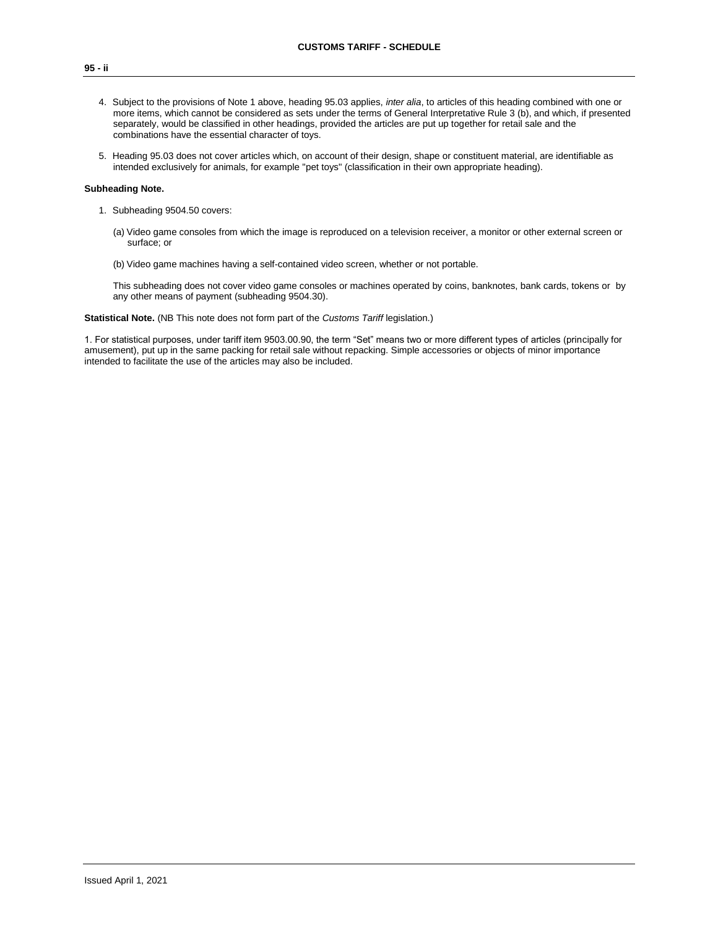# **95 - ii**

- 4. Subject to the provisions of Note 1 above, heading 95.03 applies, *inter alia*, to articles of this heading combined with one or more items, which cannot be considered as sets under the terms of General Interpretative Rule 3 (b), and which, if presented separately, would be classified in other headings, provided the articles are put up together for retail sale and the combinations have the essential character of toys.
- 5. Heading 95.03 does not cover articles which, on account of their design, shape or constituent material, are identifiable as intended exclusively for animals, for example "pet toys" (classification in their own appropriate heading).

### **Subheading Note.**

- 1. Subheading 9504.50 covers:
	- (a) Video game consoles from which the image is reproduced on a television receiver, a monitor or other external screen or surface; or
	- (b) Video game machines having a self-contained video screen, whether or not portable.

This subheading does not cover video game consoles or machines operated by coins, banknotes, bank cards, tokens or by any other means of payment (subheading 9504.30).

**Statistical Note.** (NB This note does not form part of the *Customs Tariff* legislation.)

1. For statistical purposes, under tariff item 9503.00.90, the term "Set" means two or more different types of articles (principally for amusement), put up in the same packing for retail sale without repacking. Simple accessories or objects of minor importance intended to facilitate the use of the articles may also be included.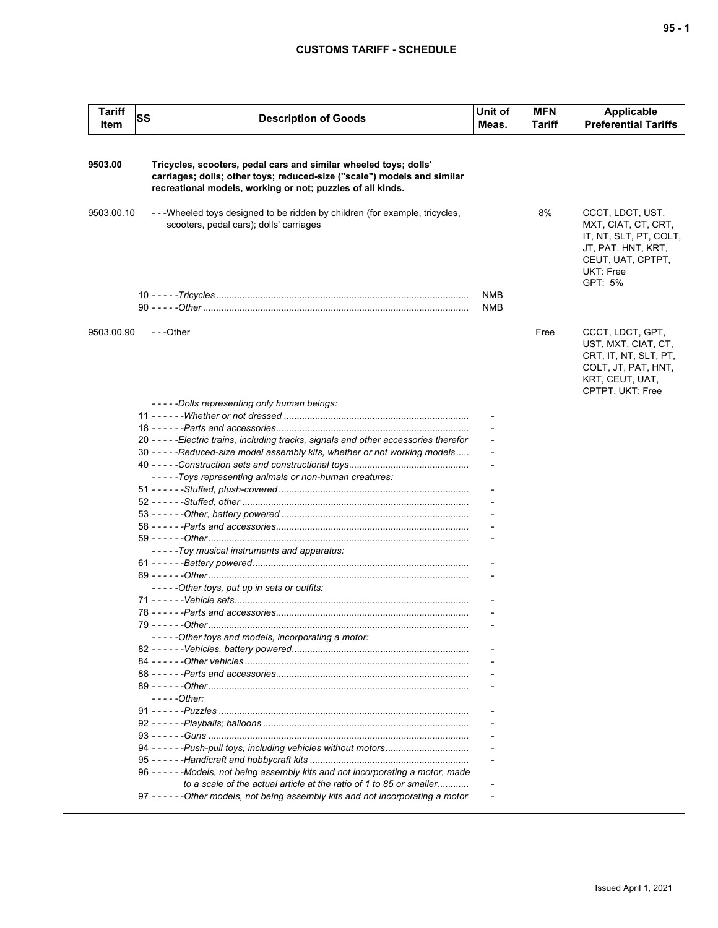## **CUSTOMS TARIFF - SCHEDULE**

| <b>Tariff</b><br>Item | <b>SS</b> | <b>Description of Goods</b>                                                                                                                                                                               | Unit of<br>Meas.  | <b>MFN</b><br>Tariff | Applicable<br><b>Preferential Tariffs</b>                                                                                            |
|-----------------------|-----------|-----------------------------------------------------------------------------------------------------------------------------------------------------------------------------------------------------------|-------------------|----------------------|--------------------------------------------------------------------------------------------------------------------------------------|
|                       |           |                                                                                                                                                                                                           |                   |                      |                                                                                                                                      |
| 9503.00               |           | Tricycles, scooters, pedal cars and similar wheeled toys; dolls'<br>carriages; dolls; other toys; reduced-size ("scale") models and similar<br>recreational models, working or not; puzzles of all kinds. |                   |                      |                                                                                                                                      |
| 9503.00.10            |           | --Wheeled toys designed to be ridden by children (for example, tricycles,<br>scooters, pedal cars); dolls' carriages                                                                                      |                   | 8%                   | CCCT, LDCT, UST,<br>MXT, CIAT, CT, CRT,<br>IT, NT, SLT, PT, COLT,<br>JT, PAT, HNT, KRT,<br>CEUT, UAT, CPTPT,<br>UKT: Free<br>GPT: 5% |
|                       |           |                                                                                                                                                                                                           | <b>NMB</b><br>NMB |                      |                                                                                                                                      |
| 9503.00.90            |           | ---Other                                                                                                                                                                                                  |                   | Free                 | CCCT, LDCT, GPT,<br>UST, MXT, CIAT, CT,<br>CRT, IT, NT, SLT, PT,<br>COLT, JT, PAT, HNT,<br>KRT, CEUT, UAT,<br>CPTPT, UKT: Free       |
|                       |           | -----Dolls representing only human beings:                                                                                                                                                                |                   |                      |                                                                                                                                      |
|                       |           |                                                                                                                                                                                                           |                   |                      |                                                                                                                                      |
|                       |           |                                                                                                                                                                                                           |                   |                      |                                                                                                                                      |
|                       |           | 20 - - - - - Electric trains, including tracks, signals and other accessories therefor                                                                                                                    |                   |                      |                                                                                                                                      |
|                       |           | 30 - - - - - Reduced-size model assembly kits, whether or not working models                                                                                                                              |                   |                      |                                                                                                                                      |
|                       |           |                                                                                                                                                                                                           |                   |                      |                                                                                                                                      |
|                       |           | -----Toys representing animals or non-human creatures:                                                                                                                                                    |                   |                      |                                                                                                                                      |
|                       |           |                                                                                                                                                                                                           |                   |                      |                                                                                                                                      |
|                       |           |                                                                                                                                                                                                           |                   |                      |                                                                                                                                      |
|                       |           |                                                                                                                                                                                                           |                   |                      |                                                                                                                                      |
|                       |           |                                                                                                                                                                                                           |                   |                      |                                                                                                                                      |
|                       |           |                                                                                                                                                                                                           |                   |                      |                                                                                                                                      |
|                       |           | - - - - - Toy musical instruments and apparatus:                                                                                                                                                          |                   |                      |                                                                                                                                      |
|                       |           |                                                                                                                                                                                                           |                   |                      |                                                                                                                                      |
|                       |           |                                                                                                                                                                                                           |                   |                      |                                                                                                                                      |
|                       |           | -----Other toys, put up in sets or outfits:                                                                                                                                                               |                   |                      |                                                                                                                                      |
|                       |           |                                                                                                                                                                                                           |                   |                      |                                                                                                                                      |
|                       |           |                                                                                                                                                                                                           |                   |                      |                                                                                                                                      |
|                       |           | 79 - - - - - -Other                                                                                                                                                                                       |                   |                      |                                                                                                                                      |
|                       |           | -----Other toys and models, incorporating a motor:                                                                                                                                                        |                   |                      |                                                                                                                                      |
|                       |           |                                                                                                                                                                                                           |                   |                      |                                                                                                                                      |
|                       |           |                                                                                                                                                                                                           |                   |                      |                                                                                                                                      |
|                       |           |                                                                                                                                                                                                           |                   |                      |                                                                                                                                      |
|                       |           |                                                                                                                                                                                                           |                   |                      |                                                                                                                                      |
|                       |           | - - - - - Other:                                                                                                                                                                                          |                   |                      |                                                                                                                                      |
|                       |           |                                                                                                                                                                                                           |                   |                      |                                                                                                                                      |
|                       |           |                                                                                                                                                                                                           |                   |                      |                                                                                                                                      |
|                       |           |                                                                                                                                                                                                           |                   |                      |                                                                                                                                      |
|                       |           |                                                                                                                                                                                                           |                   |                      |                                                                                                                                      |
|                       |           |                                                                                                                                                                                                           |                   |                      |                                                                                                                                      |
|                       |           | 96 ----- - - Models, not being assembly kits and not incorporating a motor, made                                                                                                                          |                   |                      |                                                                                                                                      |
|                       |           | to a scale of the actual article at the ratio of 1 to 85 or smaller                                                                                                                                       |                   |                      |                                                                                                                                      |
|                       |           | 97 - - - - - - Other models, not being assembly kits and not incorporating a motor                                                                                                                        |                   |                      |                                                                                                                                      |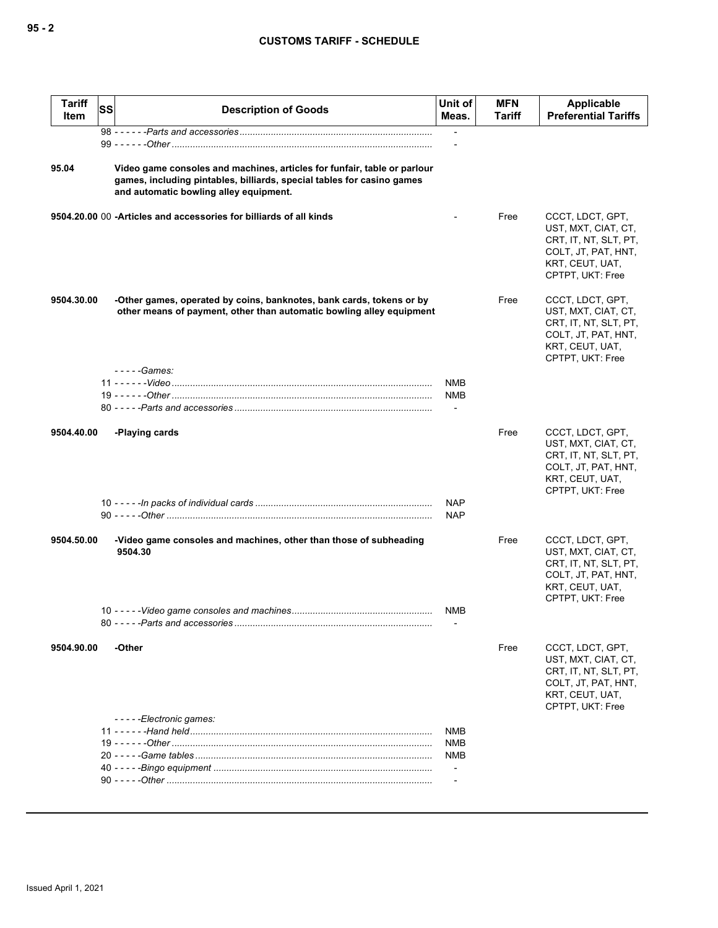## **CUSTOMS TARIFF - SCHEDULE**

| <b>Tariff</b><br>Item | <b>SS</b> | <b>Description of Goods</b>                                                                                                                                                                  | Unit of<br>Meas.                | <b>MFN</b><br>Tariff | Applicable<br><b>Preferential Tariffs</b>                                                                                      |
|-----------------------|-----------|----------------------------------------------------------------------------------------------------------------------------------------------------------------------------------------------|---------------------------------|----------------------|--------------------------------------------------------------------------------------------------------------------------------|
|                       |           |                                                                                                                                                                                              | $\overline{\phantom{a}}$        |                      |                                                                                                                                |
|                       |           |                                                                                                                                                                                              | $\overline{\phantom{0}}$        |                      |                                                                                                                                |
| 95.04                 |           | Video game consoles and machines, articles for funfair, table or parlour<br>games, including pintables, billiards, special tables for casino games<br>and automatic bowling alley equipment. |                                 |                      |                                                                                                                                |
|                       |           | 9504.20.00 00 - Articles and accessories for billiards of all kinds                                                                                                                          |                                 | Free                 | CCCT, LDCT, GPT,<br>UST, MXT, CIAT, CT,<br>CRT, IT, NT, SLT, PT,<br>COLT, JT, PAT, HNT,<br>KRT, CEUT, UAT,<br>CPTPT, UKT: Free |
| 9504.30.00            |           | -Other games, operated by coins, banknotes, bank cards, tokens or by<br>other means of payment, other than automatic bowling alley equipment                                                 |                                 | Free                 | CCCT, LDCT, GPT,<br>UST, MXT, CIAT, CT,<br>CRT, IT, NT, SLT, PT,<br>COLT, JT, PAT, HNT,<br>KRT, CEUT, UAT,<br>CPTPT, UKT: Free |
|                       |           | $---Games:$                                                                                                                                                                                  | NMB                             |                      |                                                                                                                                |
|                       |           |                                                                                                                                                                                              | <b>NMB</b><br>$\overline{a}$    |                      |                                                                                                                                |
| 9504.40.00            |           | -Playing cards                                                                                                                                                                               |                                 | Free                 | CCCT, LDCT, GPT,<br>UST, MXT, CIAT, CT,<br>CRT, IT, NT, SLT, PT,<br>COLT, JT, PAT, HNT,<br>KRT, CEUT, UAT,<br>CPTPT, UKT: Free |
|                       |           |                                                                                                                                                                                              | <b>NAP</b><br><b>NAP</b>        |                      |                                                                                                                                |
| 9504.50.00            |           | -Video game consoles and machines, other than those of subheading<br>9504.30                                                                                                                 |                                 | Free                 | CCCT, LDCT, GPT,<br>UST, MXT, CIAT, CT,<br>CRT, IT, NT, SLT, PT,<br>COLT, JT, PAT, HNT,<br>KRT, CEUT, UAT,<br>CPTPT, UKT: Free |
|                       |           |                                                                                                                                                                                              | NMB                             |                      |                                                                                                                                |
| 9504.90.00            |           | -Other                                                                                                                                                                                       |                                 | Free                 | CCCT, LDCT, GPT,<br>UST, MXT, CIAT, CT,<br>CRT, IT, NT, SLT, PT,<br>COLT, JT, PAT, HNT,<br>KRT, CEUT, UAT,<br>CPTPT, UKT: Free |
|                       |           | -----Electronic games:                                                                                                                                                                       | <b>NMB</b>                      |                      |                                                                                                                                |
|                       |           |                                                                                                                                                                                              | <b>NMB</b>                      |                      |                                                                                                                                |
|                       |           |                                                                                                                                                                                              | NMB<br>$\overline{\phantom{a}}$ |                      |                                                                                                                                |
|                       |           |                                                                                                                                                                                              |                                 |                      |                                                                                                                                |
|                       |           |                                                                                                                                                                                              |                                 |                      |                                                                                                                                |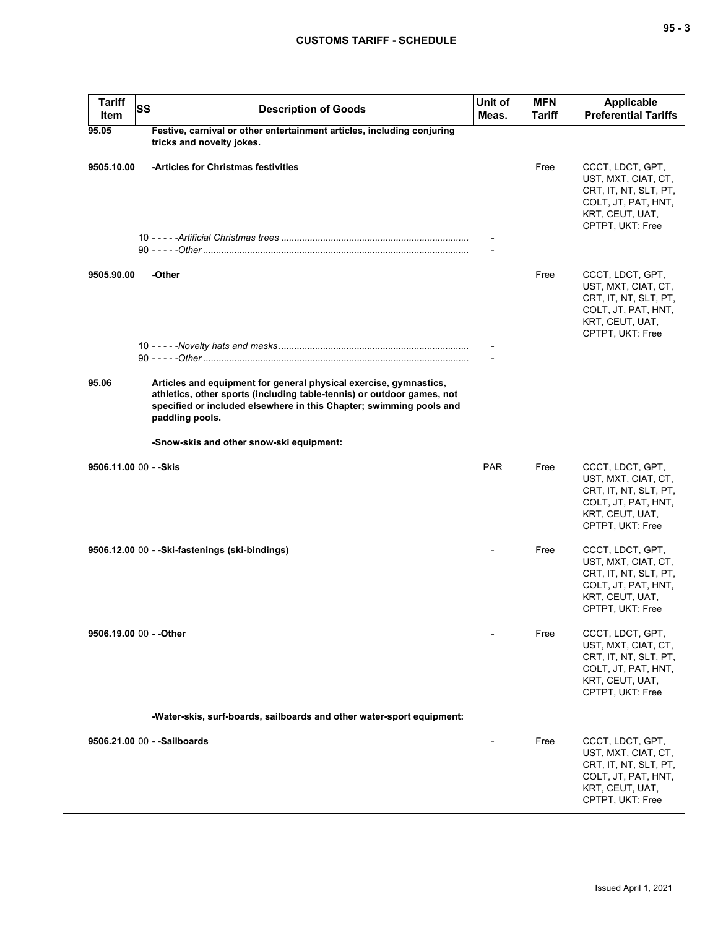| <b>Tariff</b><br>Item   | <b>SS</b> | <b>Description of Goods</b>                                                                                                                                                                                                           | Unit of<br>Meas. | <b>MFN</b><br>Tariff | <b>Applicable</b><br><b>Preferential Tariffs</b>                                                                               |
|-------------------------|-----------|---------------------------------------------------------------------------------------------------------------------------------------------------------------------------------------------------------------------------------------|------------------|----------------------|--------------------------------------------------------------------------------------------------------------------------------|
| 95.05                   |           | Festive, carnival or other entertainment articles, including conjuring<br>tricks and novelty jokes.                                                                                                                                   |                  |                      |                                                                                                                                |
| 9505.10.00              |           | -Articles for Christmas festivities                                                                                                                                                                                                   |                  | Free                 | CCCT, LDCT, GPT,<br>UST, MXT, CIAT, CT,<br>CRT, IT, NT, SLT, PT,<br>COLT, JT, PAT, HNT,<br>KRT, CEUT, UAT,<br>CPTPT, UKT: Free |
|                         |           |                                                                                                                                                                                                                                       |                  |                      |                                                                                                                                |
| 9505.90.00              |           | -Other                                                                                                                                                                                                                                |                  | Free                 | CCCT, LDCT, GPT,<br>UST, MXT, CIAT, CT,<br>CRT, IT, NT, SLT, PT,<br>COLT, JT, PAT, HNT,<br>KRT, CEUT, UAT,<br>CPTPT, UKT: Free |
|                         |           |                                                                                                                                                                                                                                       |                  |                      |                                                                                                                                |
| 95.06                   |           | Articles and equipment for general physical exercise, gymnastics,<br>athletics, other sports (including table-tennis) or outdoor games, not<br>specified or included elsewhere in this Chapter; swimming pools and<br>paddling pools. |                  |                      |                                                                                                                                |
|                         |           | -Snow-skis and other snow-ski equipment:                                                                                                                                                                                              |                  |                      |                                                                                                                                |
| 9506.11.00 00 - - Skis  |           |                                                                                                                                                                                                                                       | <b>PAR</b>       | Free                 | CCCT, LDCT, GPT,<br>UST, MXT, CIAT, CT,<br>CRT, IT, NT, SLT, PT,<br>COLT, JT, PAT, HNT,<br>KRT, CEUT, UAT,<br>CPTPT, UKT: Free |
|                         |           | 9506.12.00 00 - - Ski-fastenings (ski-bindings)                                                                                                                                                                                       |                  | Free                 | CCCT, LDCT, GPT,<br>UST, MXT, CIAT, CT,<br>CRT, IT, NT, SLT, PT,<br>COLT, JT, PAT, HNT,<br>KRT, CEUT, UAT,<br>CPTPT, UKT: Free |
| 9506.19.00 00 - - Other |           |                                                                                                                                                                                                                                       |                  | Free                 | CCCT, LDCT, GPT,<br>UST, MXT, CIAT, CT,<br>CRT, IT, NT, SLT, PT,<br>COLT, JT, PAT, HNT,<br>KRT, CEUT, UAT,<br>CPTPT, UKT: Free |
|                         |           | -Water-skis, surf-boards, sailboards and other water-sport equipment:                                                                                                                                                                 |                  |                      |                                                                                                                                |
|                         |           | 9506.21.00 00 - - Sailboards                                                                                                                                                                                                          |                  | Free                 | CCCT, LDCT, GPT,<br>UST, MXT, CIAT, CT,<br>CRT, IT, NT, SLT, PT,<br>COLT, JT, PAT, HNT,<br>KRT, CEUT, UAT,<br>CPTPT, UKT: Free |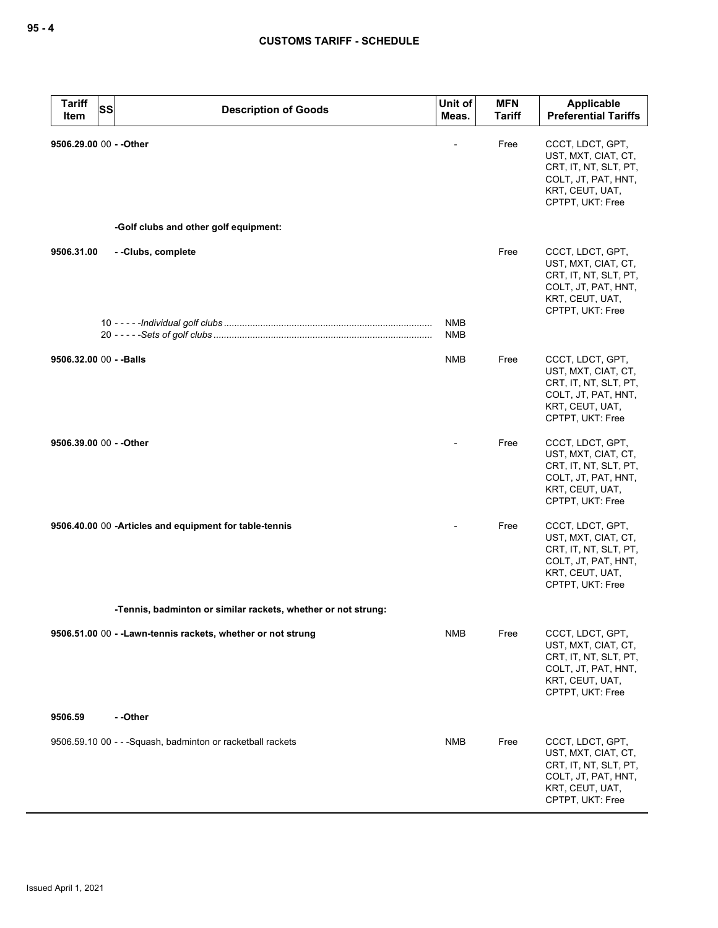| <b>Tariff</b><br><b>SS</b><br>Item | <b>Description of Goods</b>                                   | Unit of<br>Meas.         | <b>MFN</b><br><b>Tariff</b> | Applicable<br><b>Preferential Tariffs</b>                                                                                      |
|------------------------------------|---------------------------------------------------------------|--------------------------|-----------------------------|--------------------------------------------------------------------------------------------------------------------------------|
| 9506.29.00 00 - - Other            | -Golf clubs and other golf equipment:                         |                          | Free                        | CCCT, LDCT, GPT,<br>UST, MXT, CIAT, CT,<br>CRT, IT, NT, SLT, PT,<br>COLT, JT, PAT, HNT,<br>KRT, CEUT, UAT,<br>CPTPT, UKT: Free |
|                                    |                                                               |                          |                             |                                                                                                                                |
| 9506.31.00                         | --Clubs, complete                                             |                          | Free                        | CCCT, LDCT, GPT,<br>UST, MXT, CIAT, CT,<br>CRT, IT, NT, SLT, PT,<br>COLT, JT, PAT, HNT,<br>KRT, CEUT, UAT,<br>CPTPT, UKT: Free |
|                                    |                                                               | <b>NMB</b><br><b>NMB</b> |                             |                                                                                                                                |
| 9506.32.00 00 - - Balls            |                                                               | <b>NMB</b>               | Free                        | CCCT, LDCT, GPT,<br>UST, MXT, CIAT, CT,<br>CRT, IT, NT, SLT, PT,<br>COLT, JT, PAT, HNT,<br>KRT, CEUT, UAT,<br>CPTPT, UKT: Free |
| 9506.39.00 00 - - Other            |                                                               |                          | Free                        | CCCT, LDCT, GPT,<br>UST, MXT, CIAT, CT,<br>CRT, IT, NT, SLT, PT,<br>COLT, JT, PAT, HNT,<br>KRT, CEUT, UAT,<br>CPTPT, UKT: Free |
|                                    | 9506.40.00 00 -Articles and equipment for table-tennis        |                          | Free                        | CCCT, LDCT, GPT,<br>UST, MXT, CIAT, CT,<br>CRT, IT, NT, SLT, PT,<br>COLT, JT, PAT, HNT,<br>KRT, CEUT, UAT,<br>CPTPT, UKT: Free |
|                                    | -Tennis, badminton or similar rackets, whether or not strung: |                          |                             |                                                                                                                                |
|                                    | 9506.51.00 00 - - Lawn-tennis rackets, whether or not strung  | <b>NMB</b>               | Free                        | CCCT, LDCT, GPT,<br>UST, MXT, CIAT, CT,<br>CRT, IT, NT, SLT, PT,<br>COLT, JT, PAT, HNT,<br>KRT, CEUT, UAT,<br>CPTPT, UKT: Free |
| 9506.59                            | --Other                                                       |                          |                             |                                                                                                                                |
|                                    | 9506.59.10 00 - - - Squash, badminton or racketball rackets   | NMB                      | Free                        | CCCT, LDCT, GPT,<br>UST, MXT, CIAT, CT,<br>CRT, IT, NT, SLT, PT,<br>COLT, JT, PAT, HNT,<br>KRT, CEUT, UAT,<br>CPTPT, UKT: Free |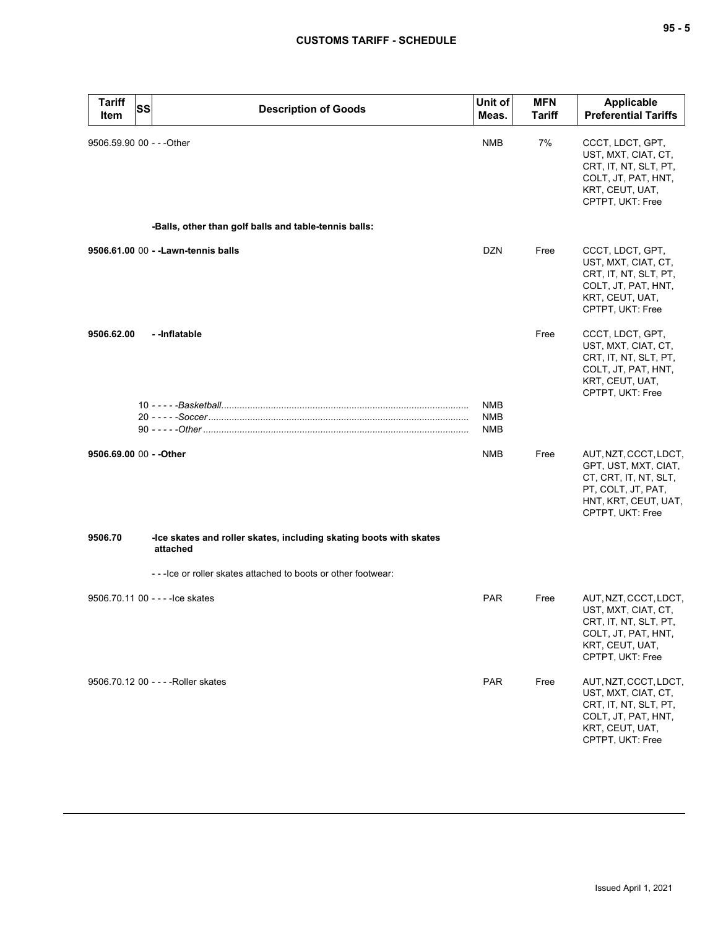# **CUSTOMS TARIFF - SCHEDULE**

| <b>Tariff</b><br>Item     | SS | <b>Description of Goods</b>                                                    | Unit of<br>Meas.         | <b>MFN</b><br><b>Tariff</b> | <b>Applicable</b><br><b>Preferential Tariffs</b>                                                                                         |
|---------------------------|----|--------------------------------------------------------------------------------|--------------------------|-----------------------------|------------------------------------------------------------------------------------------------------------------------------------------|
| 9506.59.90 00 - - - Other |    |                                                                                | NMB                      | 7%                          | CCCT, LDCT, GPT,<br>UST, MXT, CIAT, CT,<br>CRT, IT, NT, SLT, PT,<br>COLT, JT, PAT, HNT,<br>KRT, CEUT, UAT,<br>CPTPT, UKT: Free           |
|                           |    | -Balls, other than golf balls and table-tennis balls:                          |                          |                             |                                                                                                                                          |
|                           |    | 9506.61.00 00 - - Lawn-tennis balls                                            | <b>DZN</b>               | Free                        | CCCT, LDCT, GPT,<br>UST, MXT, CIAT, CT,<br>CRT, IT, NT, SLT, PT,<br>COLT, JT, PAT, HNT,<br>KRT, CEUT, UAT,<br>CPTPT, UKT: Free           |
| 9506.62.00                |    | -- Inflatable                                                                  |                          | Free                        | CCCT, LDCT, GPT,<br>UST, MXT, CIAT, CT,<br>CRT, IT, NT, SLT, PT,<br>COLT, JT, PAT, HNT,<br>KRT, CEUT, UAT,<br>CPTPT, UKT: Free           |
|                           |    |                                                                                | NMB<br><b>NMB</b><br>NMB |                             |                                                                                                                                          |
| 9506.69.00 00 - - Other   |    |                                                                                | NMB                      | Free                        | AUT, NZT, CCCT, LDCT,<br>GPT, UST, MXT, CIAT,<br>CT, CRT, IT, NT, SLT,<br>PT, COLT, JT, PAT,<br>HNT, KRT, CEUT, UAT,<br>CPTPT, UKT: Free |
| 9506.70                   |    | -Ice skates and roller skates, including skating boots with skates<br>attached |                          |                             |                                                                                                                                          |
|                           |    | - - - Ice or roller skates attached to boots or other footwear:                |                          |                             |                                                                                                                                          |
|                           |    | 9506.70.11 00 - - - - lce skates                                               | <b>PAR</b>               | Free                        | AUT, NZT, CCCT, LDCT,<br>UST, MXT, CIAT, CT,<br>CRT, IT, NT, SLT, PT,<br>COLT, JT, PAT, HNT,<br>KRT, CEUT, UAT,<br>CPTPT, UKT: Free      |
|                           |    | 9506.70.12 00 - - - - Roller skates                                            | <b>PAR</b>               | Free                        | AUT, NZT, CCCT, LDCT,<br>UST, MXT, CIAT, CT,<br>CRT, IT, NT, SLT, PT,<br>COLT, JT, PAT, HNT,<br>KRT, CEUT, UAT,<br>CPTPT, UKT: Free      |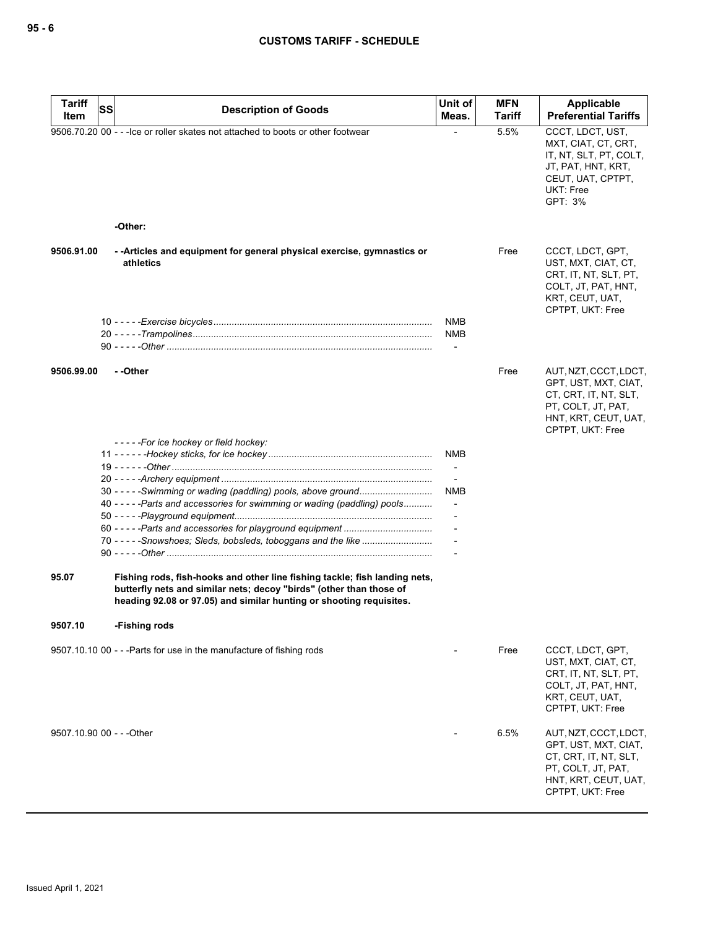| <b>Tariff</b><br>Item | SS<br><b>Description of Goods</b>                                                                                                                                                                                        | Unit of<br>Meas.                                     | <b>MFN</b><br><b>Tariff</b> | Applicable<br><b>Preferential Tariffs</b>                                                                                                |
|-----------------------|--------------------------------------------------------------------------------------------------------------------------------------------------------------------------------------------------------------------------|------------------------------------------------------|-----------------------------|------------------------------------------------------------------------------------------------------------------------------------------|
|                       | 9506.70.20 00 - - - lce or roller skates not attached to boots or other footwear                                                                                                                                         |                                                      | 5.5%                        | CCCT, LDCT, UST,<br>MXT, CIAT, CT, CRT,<br>IT, NT, SLT, PT, COLT,<br>JT, PAT, HNT, KRT,<br>CEUT, UAT, CPTPT,<br>UKT: Free<br>GPT: 3%     |
|                       | -Other:                                                                                                                                                                                                                  |                                                      |                             |                                                                                                                                          |
| 9506.91.00            | - - Articles and equipment for general physical exercise, gymnastics or<br>athletics                                                                                                                                     |                                                      | Free                        | CCCT, LDCT, GPT,<br>UST, MXT, CIAT, CT,<br>CRT, IT, NT, SLT, PT,<br>COLT, JT, PAT, HNT,<br>KRT, CEUT, UAT,<br>CPTPT, UKT: Free           |
|                       |                                                                                                                                                                                                                          | <b>NMB</b><br><b>NMB</b><br>$\overline{\phantom{a}}$ |                             |                                                                                                                                          |
| 9506.99.00            | - -Other                                                                                                                                                                                                                 |                                                      | Free                        | AUT, NZT, CCCT, LDCT,<br>GPT, UST, MXT, CIAT,<br>CT, CRT, IT, NT, SLT,<br>PT, COLT, JT, PAT,<br>HNT, KRT, CEUT, UAT,<br>CPTPT, UKT: Free |
|                       | -----For ice hockey or field hockey:                                                                                                                                                                                     |                                                      |                             |                                                                                                                                          |
|                       |                                                                                                                                                                                                                          | <b>NMB</b>                                           |                             |                                                                                                                                          |
|                       |                                                                                                                                                                                                                          | $\overline{\phantom{a}}$                             |                             |                                                                                                                                          |
|                       |                                                                                                                                                                                                                          |                                                      |                             |                                                                                                                                          |
|                       | 30 - - - - - Swimming or wading (paddling) pools, above ground                                                                                                                                                           | <b>NMB</b>                                           |                             |                                                                                                                                          |
|                       | 40 - - - - - Parts and accessories for swimming or wading (paddling) pools                                                                                                                                               |                                                      |                             |                                                                                                                                          |
|                       |                                                                                                                                                                                                                          |                                                      |                             |                                                                                                                                          |
|                       |                                                                                                                                                                                                                          |                                                      |                             |                                                                                                                                          |
| 95.07                 | Fishing rods, fish-hooks and other line fishing tackle; fish landing nets,<br>butterfly nets and similar nets; decoy "birds" (other than those of<br>heading 92.08 or 97.05) and similar hunting or shooting requisites. |                                                      |                             |                                                                                                                                          |
| 9507.10               | -Fishing rods                                                                                                                                                                                                            |                                                      |                             |                                                                                                                                          |
|                       | 9507.10.10 00 - - - Parts for use in the manufacture of fishing rods                                                                                                                                                     |                                                      | Free                        | CCCT, LDCT, GPT,<br>UST, MXT, CIAT, CT,<br>CRT, IT, NT, SLT, PT,<br>COLT, JT, PAT, HNT,<br>KRT, CEUT, UAT,<br>CPTPT, UKT: Free           |
|                       | 9507.10.90 00 - - - Other                                                                                                                                                                                                |                                                      | 6.5%                        | AUT, NZT, CCCT, LDCT,<br>GPT, UST, MXT, CIAT,<br>CT, CRT, IT, NT, SLT,<br>PT, COLT, JT, PAT,<br>HNT, KRT, CEUT, UAT,<br>CPTPT, UKT: Free |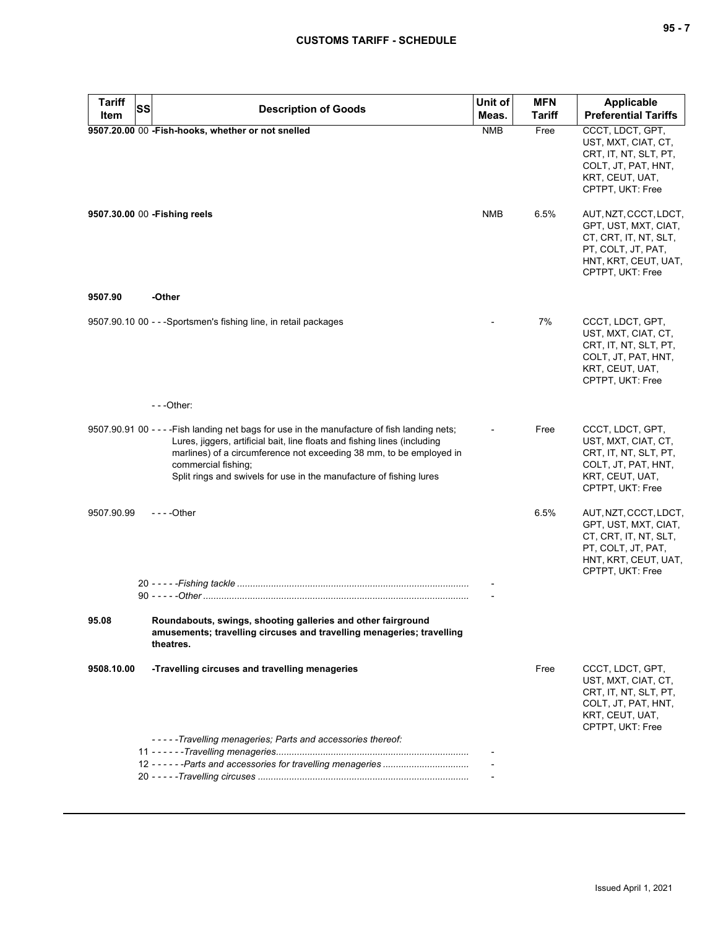| <b>Tariff</b> | <b>SS</b> | <b>Description of Goods</b>                                                                                                                                                                                                                                                                                                                    | Unit of    | <b>MFN</b> | <b>Applicable</b>                                                                                                                        |
|---------------|-----------|------------------------------------------------------------------------------------------------------------------------------------------------------------------------------------------------------------------------------------------------------------------------------------------------------------------------------------------------|------------|------------|------------------------------------------------------------------------------------------------------------------------------------------|
| <b>Item</b>   |           |                                                                                                                                                                                                                                                                                                                                                | Meas.      | Tariff     | <b>Preferential Tariffs</b>                                                                                                              |
|               |           | 9507.20.00 00 - Fish-hooks, whether or not snelled                                                                                                                                                                                                                                                                                             | <b>NMB</b> | Free       | CCCT, LDCT, GPT,<br>UST, MXT, CIAT, CT,<br>CRT, IT, NT, SLT, PT,<br>COLT, JT, PAT, HNT,<br>KRT, CEUT, UAT,<br>CPTPT, UKT: Free           |
|               |           | 9507.30.00 00 - Fishing reels                                                                                                                                                                                                                                                                                                                  | <b>NMB</b> | 6.5%       | AUT, NZT, CCCT, LDCT,<br>GPT, UST, MXT, CIAT,<br>CT, CRT, IT, NT, SLT,<br>PT, COLT, JT, PAT,<br>HNT, KRT, CEUT, UAT,<br>CPTPT, UKT: Free |
| 9507.90       |           | -Other                                                                                                                                                                                                                                                                                                                                         |            |            |                                                                                                                                          |
|               |           | 9507.90.10 00 - - - Sportsmen's fishing line, in retail packages                                                                                                                                                                                                                                                                               |            | 7%         | CCCT, LDCT, GPT,<br>UST, MXT, CIAT, CT,<br>CRT, IT, NT, SLT, PT,<br>COLT, JT, PAT, HNT,<br>KRT, CEUT, UAT,<br>CPTPT, UKT: Free           |
|               |           | $- -$ Other:                                                                                                                                                                                                                                                                                                                                   |            |            |                                                                                                                                          |
|               |           | 9507.90.91 00 - - - - Fish landing net bags for use in the manufacture of fish landing nets;<br>Lures, jiggers, artificial bait, line floats and fishing lines (including<br>marlines) of a circumference not exceeding 38 mm, to be employed in<br>commercial fishing;<br>Split rings and swivels for use in the manufacture of fishing lures |            | Free       | CCCT, LDCT, GPT,<br>UST, MXT, CIAT, CT,<br>CRT, IT, NT, SLT, PT,<br>COLT, JT, PAT, HNT,<br>KRT, CEUT, UAT,<br>CPTPT, UKT: Free           |
| 9507.90.99    |           | $--$ Other                                                                                                                                                                                                                                                                                                                                     |            | 6.5%       | AUT, NZT, CCCT, LDCT,<br>GPT, UST, MXT, CIAT,<br>CT, CRT, IT, NT, SLT,<br>PT, COLT, JT, PAT,<br>HNT, KRT, CEUT, UAT,<br>CPTPT, UKT: Free |
|               |           |                                                                                                                                                                                                                                                                                                                                                |            |            |                                                                                                                                          |
|               |           |                                                                                                                                                                                                                                                                                                                                                |            |            |                                                                                                                                          |
| 95.08         |           | Roundabouts, swings, shooting galleries and other fairground<br>amusements; travelling circuses and travelling menageries; travelling<br>theatres.                                                                                                                                                                                             |            |            |                                                                                                                                          |
| 9508.10.00    |           | -Travelling circuses and travelling menageries                                                                                                                                                                                                                                                                                                 |            | Free       | CCCT, LDCT, GPT,<br>UST, MXT, CIAT, CT,<br>CRT, IT, NT, SLT, PT,<br>COLT, JT, PAT, HNT,<br>KRT, CEUT, UAT,<br>CPTPT, UKT: Free           |
|               |           | -----Travelling menageries; Parts and accessories thereof:                                                                                                                                                                                                                                                                                     |            |            |                                                                                                                                          |
|               |           |                                                                                                                                                                                                                                                                                                                                                |            |            |                                                                                                                                          |
|               |           |                                                                                                                                                                                                                                                                                                                                                |            |            |                                                                                                                                          |
|               |           |                                                                                                                                                                                                                                                                                                                                                |            |            |                                                                                                                                          |